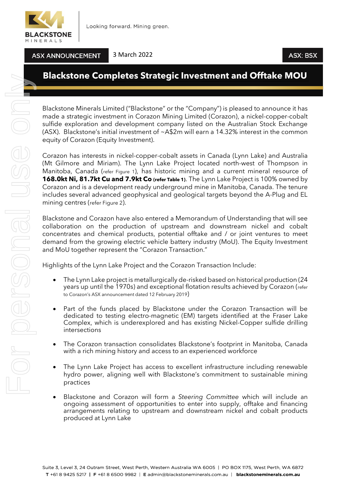

**ASX ANNOUNCEMENT** 

# **Blackstone Completes Strategic Investment and Offtake MOU**

Blackstone Minerals Limited ("Blackstone" or the "Company") is pleased to announce it has made a strategic investment in Corazon Mining Limited (Corazon), a nickel-copper-cobalt sulfide exploration and development company listed on the Australian Stock Exchange (ASX). Blackstone's initial investment of  $\sim$ A\$2m will earn a 14.32% interest in the common equity of Corazon (Equity Investment).

Corazon has interests in nickel-copper-cobalt assets in Canada (Lynn Lake) and Australia (Mt Gilmore and Miriam). The Lynn Lake Project located north-west of Thompson in Manitoba, Canada (refer Figure 1), has historic mining and a current mineral resource of **168.0kt Ni, 81.7kt Cu and 7.9kt Co (refer Table 1)**. The Lynn Lake Project is 100% owned by Corazon and is a development ready underground mine in Manitoba, Canada. The tenure includes several advanced geophysical and geological targets beyond the A-Plug and EL mining centres (refer Figure 2).

Blackstone and Corazon have also entered a Memorandum of Understanding that will see collaboration on the production of upstream and downstream nickel and cobalt concentrates and chemical products, potential offtake and / or joint ventures to meet demand from the growing electric vehicle battery industry (MoU). The Equity Investment and MoU together represent the "Corazon Transaction."

Highlights of the Lynn Lake Project and the Corazon Transaction Include:

- The Lynn Lake project is metallurgically de-risked based on historical production (24 years up until the 1970s) and exceptional flotation results achieved by Corazon (refer to Corazon's ASX announcement dated 12 February 2019)
- Part of the funds placed by Blackstone under the Corazon Transaction will be dedicated to testing electro-magnetic (EM) targets identified at the Fraser Lake Complex, which is underexplored and has existing Nickel-Copper sulfide drilling intersections
- The Corazon transaction consolidates Blackstone's footprint in Manitoba, Canada with a rich mining history and access to an experienced workforce
- The Lynn Lake Project has access to excellent infrastructure including renewable hydro power, aligning well with Blackstone's commitment to sustainable mining practices
- Blackstone and Corazon will form a *Steering Committee* which will include an ongoing assessment of opportunities to enter into supply, offtake and financing arrangements relating to upstream and downstream nickel and cobalt products produced at Lynn Lake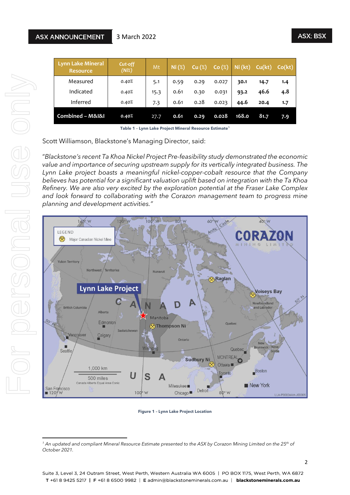| <b>Lynn Lake Mineral</b><br><b>Resource</b> | Cut-off<br>(Ni%) | Mt   | Ni (%) | Cu (%) | Co(%) | Ni (kt) | Cu(kt) | Co(kt) |
|---------------------------------------------|------------------|------|--------|--------|-------|---------|--------|--------|
| Measured                                    | 0.40%            | 5.1  | 0.59   | 0.29   | 0.027 | 30.1    | 14.7   | 1.4    |
| Indicated                                   | 0.40%            | 15.3 | 0.61   | 0.30   | 0.031 | 93.2    | 46.6   | 4.8    |
| Inferred                                    | 0.40%            | 7.3  | 0.61   | 0.28   | 0.023 | 44.6    | 20.4   | 1.7    |
| Combined - M&I&I                            | 0.40%            | 27.7 | 0.61   | 0.29   | 0.028 | 168.0   | 81.7   | 7.9    |

**Table 1 – Lynn Lake Project Mineral Resource Estimate<sup>1</sup>**

Scott Williamson, Blackstone's Managing Director, said:

3 March 2022

"*Blackstone's recent Ta Khoa Nickel Project Pre-feasibility study demonstrated the economic value and importance of securing upstream supply for its vertically integrated business. The Lynn Lake project boasts a meaningful nickel-copper-cobalt resource that the Company believes has potential for a significant valuation uplift based on integration with the Ta Khoa Refinery. We are also very excited by the exploration potential at the Fraser Lake Complex and look forward to collaborating with the Corazon management team to progress mine planning and development activities."*



**Figure 1 – Lynn Lake Project Location**

*<sup>1</sup> An updated and compliant Mineral Resource Estimate presented to the ASX by Corazon Mining Limited on the 25 th of October 2021.*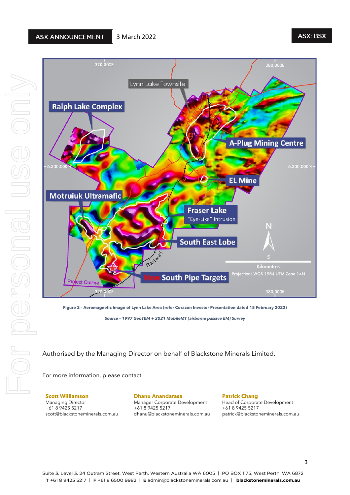## **ASX: BSX**



*Source – 1997 GeoTEM + 2021 MobileMT (airborne passive EM) Survey*

Authorised by the Managing Director on behalf of Blackstone Minerals Limited.

For more information, please contact

**Scott Williamson** Managing Director

+61 8 9425 5217 scott@blackstoneminerals.com.au **Dhanu Anandarasa**

Manager Corporate Development +61 8 9425 5217 dhanu@blackstoneminerals.com.au **Patrick Chang** Head of Corporate Development +61 8 9425 5217 patrick@blackstoneminerals.com.au